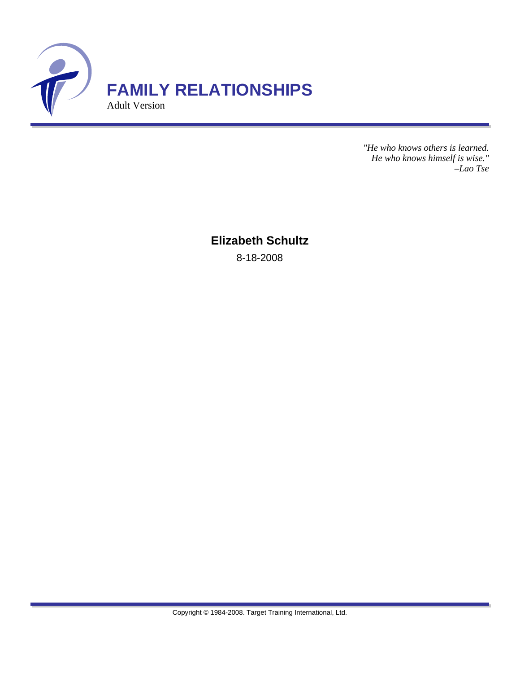

*"He who knows others is learned. He who knows himself is wise." –Lao Tse*

**Elizabeth Schultz** 8-18-2008

Copyright © 1984-2008. Target Training International, Ltd.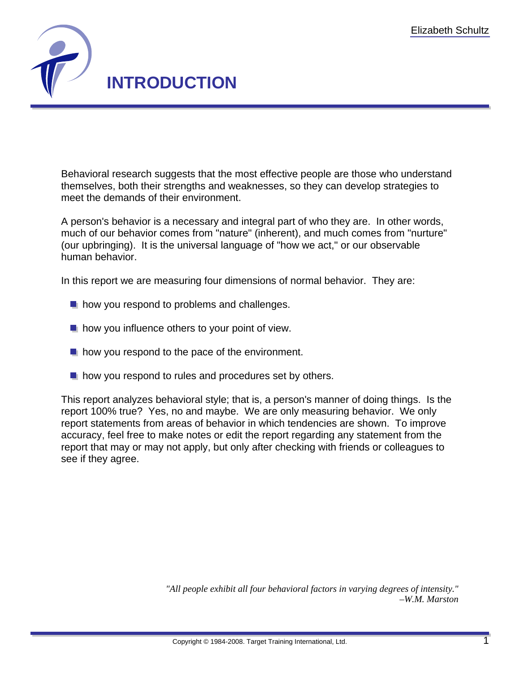

Behavioral research suggests that the most effective people are those who understand themselves, both their strengths and weaknesses, so they can develop strategies to meet the demands of their environment.

A person's behavior is a necessary and integral part of who they are. In other words, much of our behavior comes from "nature" (inherent), and much comes from "nurture" (our upbringing). It is the universal language of "how we act," or our observable human behavior.

In this report we are measuring four dimensions of normal behavior. They are:

- **h** how you respond to problems and challenges.
- $\blacksquare$  how you influence others to your point of view.
- $\blacksquare$  how you respond to the pace of the environment.
- $\blacksquare$  how you respond to rules and procedures set by others.

This report analyzes behavioral style; that is, a person's manner of doing things. Is the report 100% true? Yes, no and maybe. We are only measuring behavior. We only report statements from areas of behavior in which tendencies are shown. To improve accuracy, feel free to make notes or edit the report regarding any statement from the report that may or may not apply, but only after checking with friends or colleagues to see if they agree.

> *"All people exhibit all four behavioral factors in varying degrees of intensity." –W.M. Marston*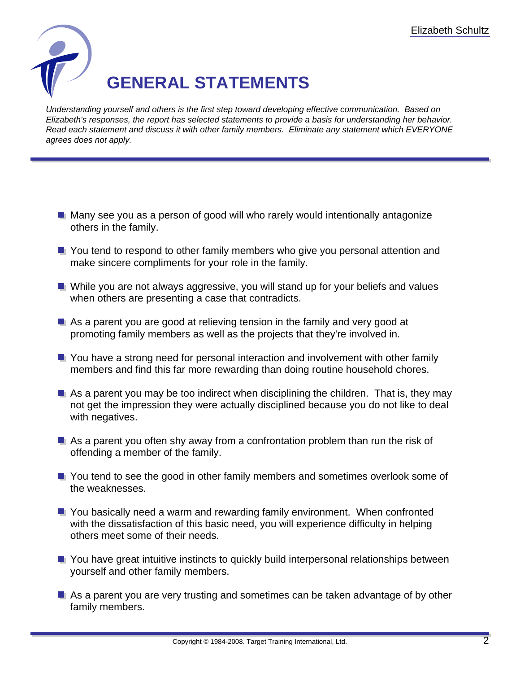

Understanding yourself and others is the first step toward developing effective communication. Based on Elizabeth's responses, the report has selected statements to provide a basis for understanding her behavior. Read each statement and discuss it with other family members. Eliminate any statement which EVERYONE agrees does not apply.

- **H** Many see you as a person of good will who rarely would intentionally antagonize others in the family.
- **T** You tend to respond to other family members who give you personal attention and make sincere compliments for your role in the family.
- **N** While you are not always aggressive, you will stand up for your beliefs and values when others are presenting a case that contradicts.
- As a parent you are good at relieving tension in the family and very good at promoting family members as well as the projects that they're involved in.
- **T** You have a strong need for personal interaction and involvement with other family members and find this far more rewarding than doing routine household chores.
- $\blacksquare$  As a parent you may be too indirect when disciplining the children. That is, they may not get the impression they were actually disciplined because you do not like to deal with negatives.
- $\blacksquare$  As a parent you often shy away from a confrontation problem than run the risk of offending a member of the family.
- **T** You tend to see the good in other family members and sometimes overlook some of the weaknesses.
- **T** You basically need a warm and rewarding family environment. When confronted with the dissatisfaction of this basic need, you will experience difficulty in helping others meet some of their needs.
- **T** You have great intuitive instincts to quickly build interpersonal relationships between yourself and other family members.
- **As a parent you are very trusting and sometimes can be taken advantage of by other** family members.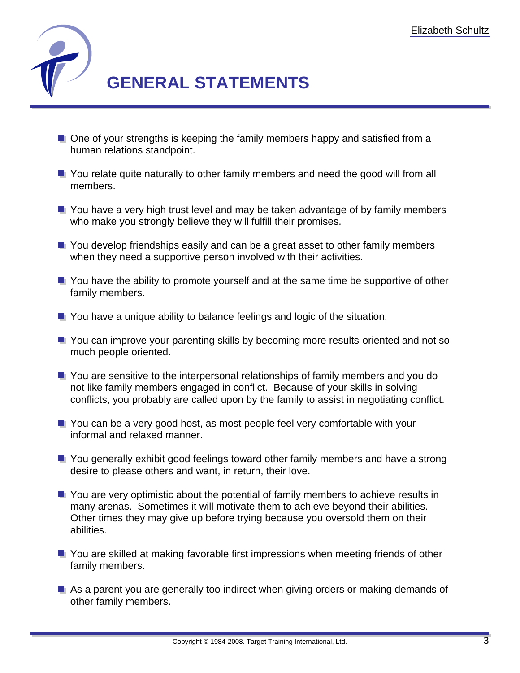

- **One of your strengths is keeping the family members happy and satisfied from a** human relations standpoint.
- **T** You relate quite naturally to other family members and need the good will from all members.
- **T** You have a very high trust level and may be taken advantage of by family members who make you strongly believe they will fulfill their promises.
- **T** You develop friendships easily and can be a great asset to other family members when they need a supportive person involved with their activities.
- **T** You have the ability to promote yourself and at the same time be supportive of other family members.
- **T** You have a unique ability to balance feelings and logic of the situation.
- **T** You can improve your parenting skills by becoming more results-oriented and not so much people oriented.
- **T** You are sensitive to the interpersonal relationships of family members and you do not like family members engaged in conflict. Because of your skills in solving conflicts, you probably are called upon by the family to assist in negotiating conflict.
- **T** You can be a very good host, as most people feel very comfortable with your informal and relaxed manner.
- **T** You generally exhibit good feelings toward other family members and have a strong desire to please others and want, in return, their love.
- **T** You are very optimistic about the potential of family members to achieve results in many arenas. Sometimes it will motivate them to achieve beyond their abilities. Other times they may give up before trying because you oversold them on their abilities.
- **T** You are skilled at making favorable first impressions when meeting friends of other family members.
- As a parent you are generally too indirect when giving orders or making demands of other family members.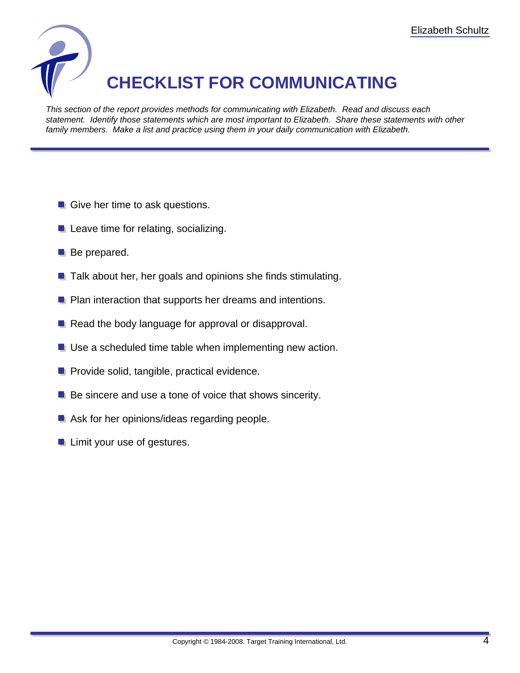

## **CHECKLIST FOR COMMUNICATING**

This section of the report provides methods for communicating with Elizabeth. Read and discuss each statement. Identify those statements which are most important to Elizabeth. Share these statements with other family members. Make a list and practice using them in your daily communication with Elizabeth.

- Give her time to ask questions.
- $\blacksquare$  Leave time for relating, socializing.
- **Be prepared.**
- $\blacksquare$  Talk about her, her goals and opinions she finds stimulating.
- **P** Plan interaction that supports her dreams and intentions.
- Read the body language for approval or disapproval.
- **Use a scheduled time table when implementing new action.**
- **Provide solid, tangible, practical evidence.**
- $\blacksquare$  Be sincere and use a tone of voice that shows sincerity.
- Ask for her opinions/ideas regarding people.
- **Limit your use of gestures.**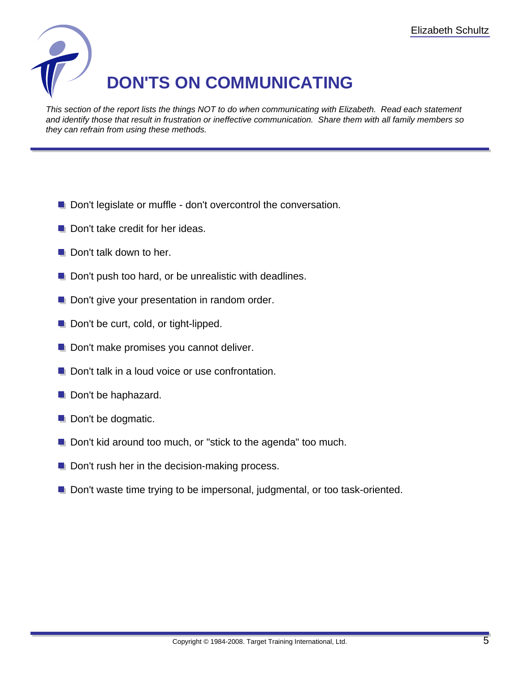

This section of the report lists the things NOT to do when communicating with Elizabeth. Read each statement and identify those that result in frustration or ineffective communication. Share them with all family members so they can refrain from using these methods.

- Don't legislate or muffle don't overcontrol the conversation.
- Don't take credit for her ideas.
- Don't talk down to her.
- Don't push too hard, or be unrealistic with deadlines.
- **Don't give your presentation in random order.**
- Don't be curt, cold, or tight-lipped.
- **Don't make promises you cannot deliver.**
- **Don't talk in a loud voice or use confrontation.**
- Don't be haphazard.
- Don't be dogmatic.
- **D** Don't kid around too much, or "stick to the agenda" too much.
- $\blacksquare$  Don't rush her in the decision-making process.
- **D** Don't waste time trying to be impersonal, judgmental, or too task-oriented.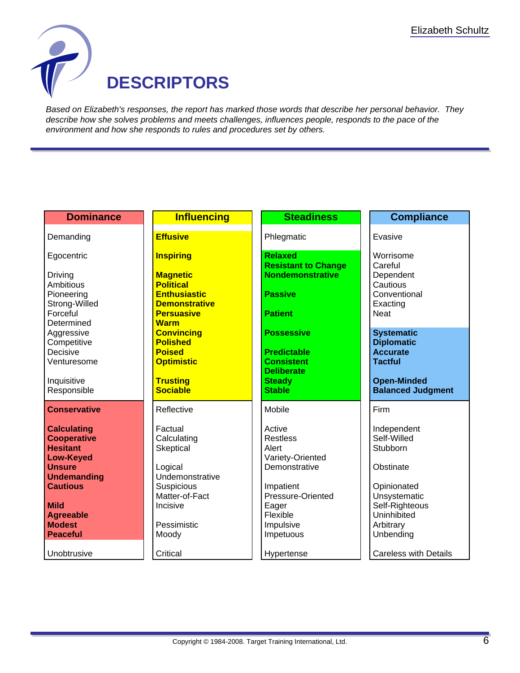

Based on Elizabeth's responses, the report has marked those words that describe her personal behavior. They describe how she solves problems and meets challenges, influences people, responds to the pace of the environment and how she responds to rules and procedures set by others.

| <b>Dominance</b>                      | <b>Influencing</b>                          | <b>Steadiness</b>                            | <b>Compliance</b>                      |
|---------------------------------------|---------------------------------------------|----------------------------------------------|----------------------------------------|
| Demanding                             | <b>Effusive</b>                             | Phlegmatic                                   | Evasive                                |
| Egocentric                            | <b>Inspiring</b>                            | <b>Relaxed</b><br><b>Resistant to Change</b> | Worrisome<br>Careful                   |
| Driving<br>Ambitious                  | <b>Magnetic</b><br><b>Political</b>         | <b>Nondemonstrative</b>                      | Dependent<br>Cautious                  |
| Pioneering<br>Strong-Willed           | <b>Enthusiastic</b><br><b>Demonstrative</b> | <b>Passive</b>                               | Conventional<br>Exacting               |
| Forceful<br>Determined                | <b>Persuasive</b><br><b>Warm</b>            | <b>Patient</b>                               | <b>Neat</b>                            |
| Aggressive<br>Competitive             | <b>Convincing</b><br><b>Polished</b>        | <b>Possessive</b>                            | <b>Systematic</b><br><b>Diplomatic</b> |
| Decisive<br>Venturesome               | <b>Poised</b><br><b>Optimistic</b>          | <b>Predictable</b><br><b>Consistent</b>      | <b>Accurate</b><br><b>Tactful</b>      |
| Inquisitive                           | <b>Trusting</b>                             | <b>Deliberate</b><br><b>Steady</b>           | <b>Open-Minded</b>                     |
| Responsible                           | <b>Sociable</b>                             | <b>Stable</b>                                | <b>Balanced Judgment</b>               |
| <b>Conservative</b>                   | Reflective                                  | Mobile                                       | Firm                                   |
| <b>Calculating</b>                    | Factual                                     | Active                                       | Independent                            |
| <b>Cooperative</b><br><b>Hesitant</b> | Calculating<br>Skeptical                    | <b>Restless</b><br>Alert                     | Self-Willed<br>Stubborn                |
| <b>Low-Keyed</b>                      |                                             | Variety-Oriented                             |                                        |
| <b>Unsure</b>                         | Logical                                     | Demonstrative                                | Obstinate                              |
| <b>Undemanding</b><br><b>Cautious</b> | Undemonstrative<br>Suspicious               | Impatient                                    | Opinionated                            |
|                                       | Matter-of-Fact                              | Pressure-Oriented                            | Unsystematic                           |
| <b>Mild</b>                           | Incisive                                    | Eager                                        | Self-Righteous                         |
| <b>Agreeable</b><br><b>Modest</b>     | Pessimistic                                 | Flexible<br>Impulsive                        | Uninhibited<br>Arbitrary               |
| <b>Peaceful</b>                       | Moody                                       | Impetuous                                    | Unbending                              |
| Unobtrusive                           | Critical                                    | Hypertense                                   | <b>Careless with Details</b>           |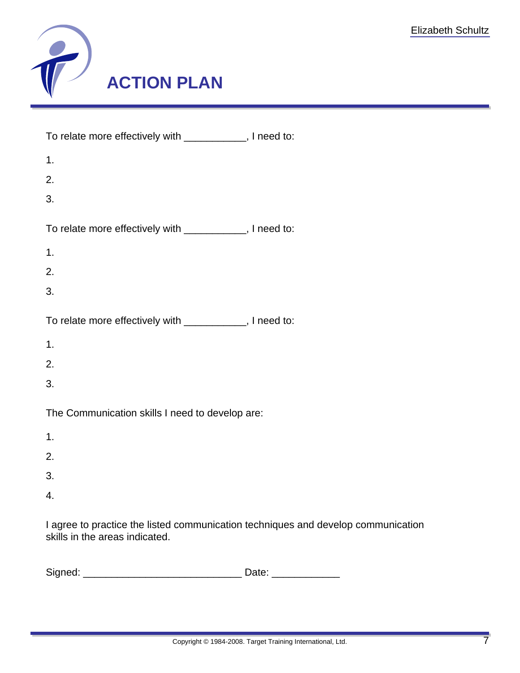

| To relate more effectively with ___________, I need to: |  |
|---------------------------------------------------------|--|
| 1.                                                      |  |
| 2.                                                      |  |
| 3.                                                      |  |
| To relate more effectively with ___________, I need to: |  |
| 1.                                                      |  |
| 2.                                                      |  |
| 3.                                                      |  |
| To relate more effectively with ___________, I need to: |  |
| 1.                                                      |  |
| 2.                                                      |  |
| 3.                                                      |  |
| The Communication skills I need to develop are:         |  |
| 1.                                                      |  |
| 2.                                                      |  |
| 3.                                                      |  |
| $\overline{4}$ .                                        |  |
|                                                         |  |

I agree to practice the listed communication techniques and develop communication skills in the areas indicated.

| Signed: |  |
|---------|--|
|---------|--|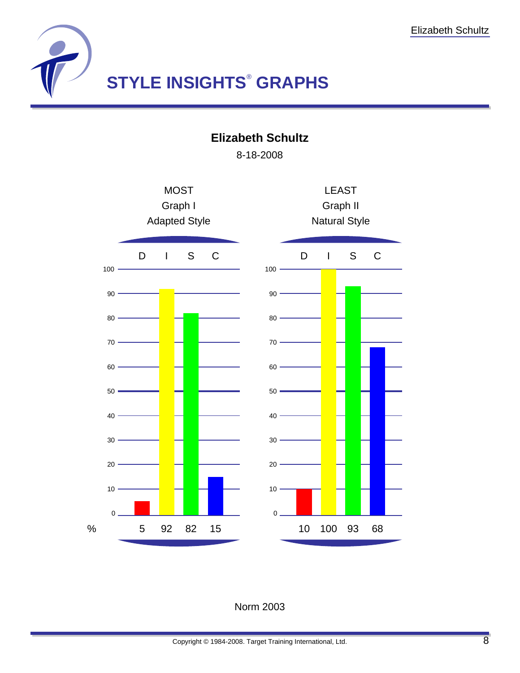

**Elizabeth Schultz**

8-18-2008



## Norm 2003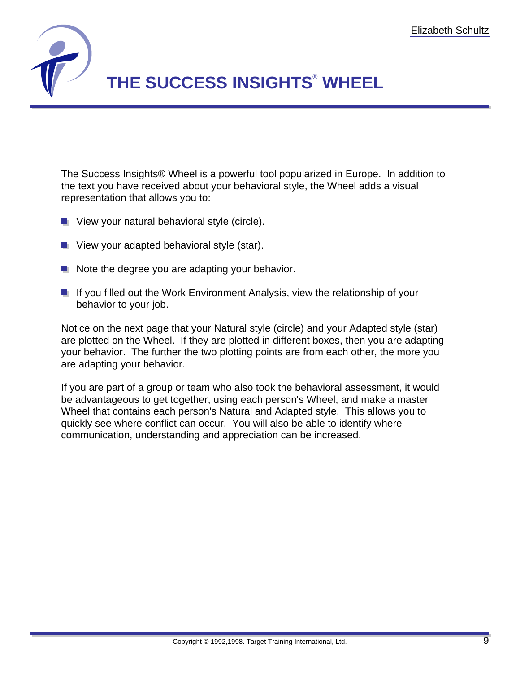

## **THE SUCCESS INSIGHTS**®  **WHEEL**

The Success Insights® Wheel is a powerful tool popularized in Europe. In addition to the text you have received about your behavioral style, the Wheel adds a visual representation that allows you to:

- **U** View your natural behavioral style (circle).
- **U** View your adapted behavioral style (star).
- $\blacksquare$  Note the degree you are adapting your behavior.
- $\blacksquare$  If you filled out the Work Environment Analysis, view the relationship of your behavior to your job.

Notice on the next page that your Natural style (circle) and your Adapted style (star) are plotted on the Wheel. If they are plotted in different boxes, then you are adapting your behavior. The further the two plotting points are from each other, the more you are adapting your behavior.

If you are part of a group or team who also took the behavioral assessment, it would be advantageous to get together, using each person's Wheel, and make a master Wheel that contains each person's Natural and Adapted style. This allows you to quickly see where conflict can occur. You will also be able to identify where communication, understanding and appreciation can be increased.